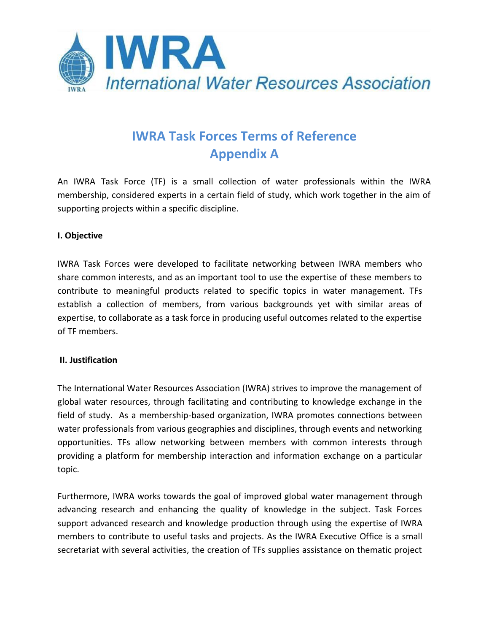

# **IWRA Task Forces Terms of Reference Appendix A**

An IWRA Task Force (TF) is a small collection of water professionals within the IWRA membership, considered experts in a certain field of study, which work together in the aim of supporting projects within a specific discipline.

# **I. Objective**

IWRA Task Forces were developed to facilitate networking between IWRA members who share common interests, and as an important tool to use the expertise of these members to contribute to meaningful products related to specific topics in water management. TFs establish a collection of members, from various backgrounds yet with similar areas of expertise, to collaborate as a task force in producing useful outcomes related to the expertise of TF members.

# **II. Justification**

The International Water Resources Association (IWRA) strives to improve the management of global water resources, through facilitating and contributing to knowledge exchange in the field of study. As a membership-based organization, IWRA promotes connections between water professionals from various geographies and disciplines, through events and networking opportunities. TFs allow networking between members with common interests through providing a platform for membership interaction and information exchange on a particular topic.

Furthermore, IWRA works towards the goal of improved global water management through advancing research and enhancing the quality of knowledge in the subject. Task Forces support advanced research and knowledge production through using the expertise of IWRA members to contribute to useful tasks and projects. As the IWRA Executive Office is a small secretariat with several activities, the creation of TFs supplies assistance on thematic project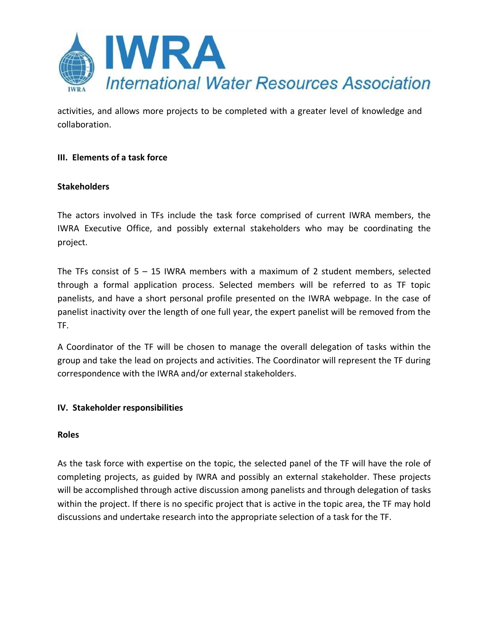

activities, and allows more projects to be completed with a greater level of knowledge and collaboration.

# **III. Elements of a task force**

# **Stakeholders**

The actors involved in TFs include the task force comprised of current IWRA members, the IWRA Executive Office, and possibly external stakeholders who may be coordinating the project.

The TFs consist of  $5 - 15$  IWRA members with a maximum of 2 student members, selected through a formal application process. Selected members will be referred to as TF topic panelists, and have a short personal profile presented on the IWRA webpage. In the case of panelist inactivity over the length of one full year, the expert panelist will be removed from the TF.

A Coordinator of the TF will be chosen to manage the overall delegation of tasks within the group and take the lead on projects and activities. The Coordinator will represent the TF during correspondence with the IWRA and/or external stakeholders.

# **IV. Stakeholder responsibilities**

#### **Roles**

As the task force with expertise on the topic, the selected panel of the TF will have the role of completing projects, as guided by IWRA and possibly an external stakeholder. These projects will be accomplished through active discussion among panelists and through delegation of tasks within the project. If there is no specific project that is active in the topic area, the TF may hold discussions and undertake research into the appropriate selection of a task for the TF.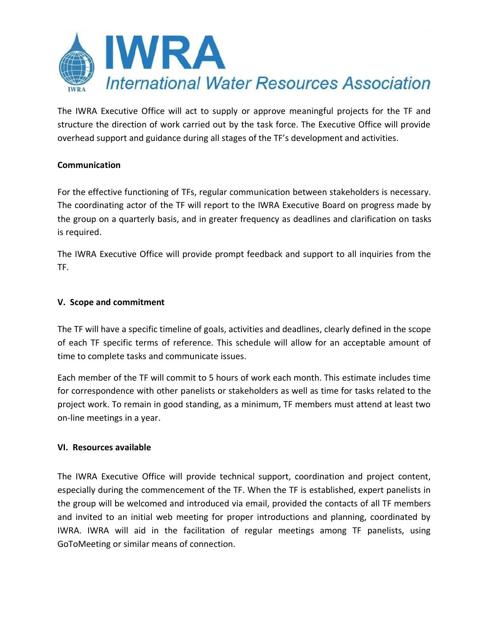

The IWRA Executive Office will act to supply or approve meaningful projects for the TF and structure the direction of work carried out by the task force. The Executive Office will provide overhead support and guidance during all stages of the TF's development and activities.

# **Communication**

For the effective functioning of TFs, regular communication between stakeholders is necessary. The coordinating actor of the TF will report to the IWRA Executive Board on progress made by the group on a quarterly basis, and in greater frequency as deadlines and clarification on tasks is required.

The IWRA Executive Office will provide prompt feedback and support to all inquiries from the TF.

# **V. Scope and commitment**

The TF will have a specific timeline of goals, activities and deadlines, clearly defined in the scope of each TF specific terms of reference. This schedule will allow for an acceptable amount of time to complete tasks and communicate issues.

Each member of the TF will commit to 5 hours of work each month. This estimate includes time for correspondence with other panelists or stakeholders as well as time for tasks related to the project work. To remain in good standing, as a minimum, TF members must attend at least two on-line meetings in a year.

# **VI. Resources available**

The IWRA Executive Office will provide technical support, coordination and project content, especially during the commencement of the TF. When the TF is established, expert panelists in the group will be welcomed and introduced via email, provided the contacts of all TF members and invited to an initial web meeting for proper introductions and planning, coordinated by IWRA. IWRA will aid in the facilitation of regular meetings among TF panelists, using GoToMeeting or similar means of connection.